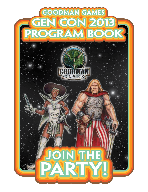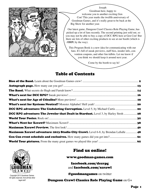

Joseph

Goodman here, happy to welcome you to another exciting Gen Con! This year marks the twelfth anniversary of Goodman Games, and it's really great to be back at the Big Show for another year.

Our latest game, Dungeon Crawl Classics Role Playing Game, has picked up a lot of fans recently. The second printing just sold out, so you may not be able to buy a copy of DCC RPG here at Gen Con! But there are lots of other exciting products to see at our booth (which is #**1819**, by the way).

This Program Book is a new idea for communicating with our fans. It's full of sneak previews, staff bios, insider info, convention coupons, and other fun tidbits. Let me know if you think we should keep it around next year.

Come by the booth to say hi!

## Table of Contents

| <b>DCC RPG adventure: The Jeweler that Dealt in Stardust.</b> Level 3, by Harley Stroh  28 |  |
|--------------------------------------------------------------------------------------------|--|
|                                                                                            |  |
|                                                                                            |  |
|                                                                                            |  |
| <b>Maximum Xcrawl adventure: 2013 Studio City Crawl.</b> Level 6-8, by Brendan LaSalle  48 |  |
|                                                                                            |  |
|                                                                                            |  |



Copyright 2013 Goodman Games. All rights reserved. And all that other legal stuff.

## Find us online!

www.goodman-games.com

facebook.com/dccrpg and facebook.com/xcrawl

**@goodmangames** on twitter

Dungeon Crawl Classics Role Playing Game on G+